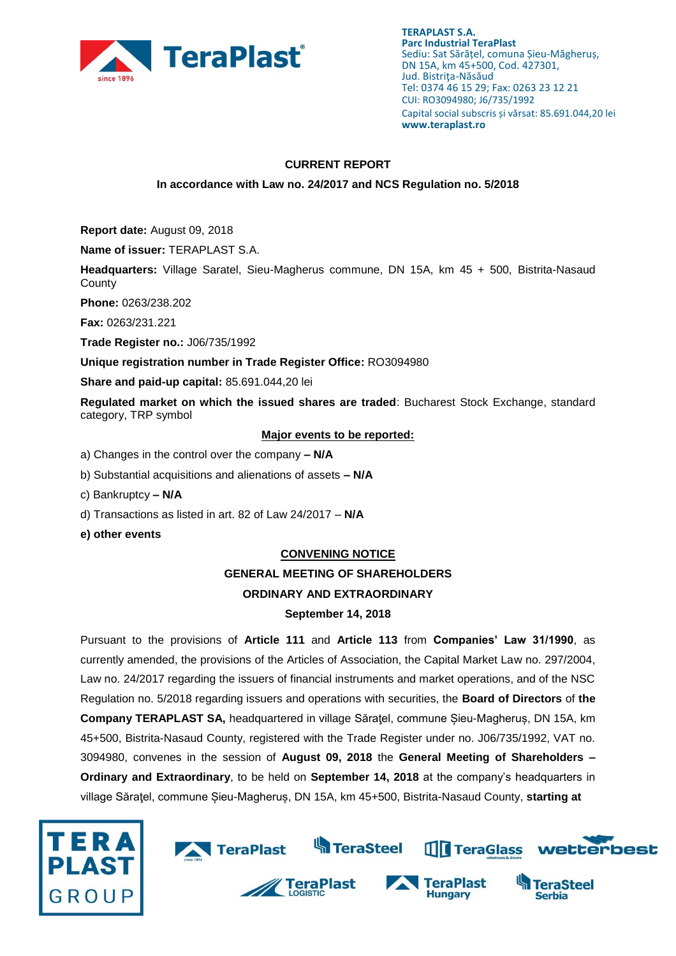

### **CURRENT REPORT**

### **In accordance with Law no. 24/2017 and NCS Regulation no. 5/2018**

**Report date:** August 09, 2018

**Name of issuer:** TERAPLAST S.A.

**Headquarters:** Village Saratel, Sieu-Magherus commune, DN 15A, km 45 + 500, Bistrita-Nasaud **County** 

**Phone:** 0263/238.202

**Fax:** 0263/231.221

**Trade Register no.:** J06/735/1992

**Unique registration number in Trade Register Office:** RO3094980

**Share and paid-up capital:** 85.691.044,20 lei

**Regulated market on which the issued shares are traded**: Bucharest Stock Exchange, standard category, TRP symbol

### **Major events to be reported:**

a) Changes in the control over the company **– N/A**

- b) Substantial acquisitions and alienations of assets **– N/A**
- c) Bankruptcy **– N/A**
- d) Transactions as listed in art. 82 of Law 24/2017 **N/A**
- **e) other events**

#### **CONVENING NOTICE**

# **GENERAL MEETING OF SHAREHOLDERS**

## **ORDINARY AND EXTRAORDINARY**

### **September 14, 2018**

Pursuant to the provisions of **Article 111** and **Article 113** from **Companies' Law 31/1990**, as currently amended, the provisions of the Articles of Association, the Capital Market Law no. 297/2004, Law no. 24/2017 regarding the issuers of financial instruments and market operations, and of the NSC Regulation no. 5/2018 regarding issuers and operations with securities, the **Board of Directors** of **the Company TERAPLAST SA,** headquartered in village Săraţel, commune Șieu-Magheruș, DN 15A, km 45+500, Bistrita-Nasaud County, registered with the Trade Register under no. J06/735/1992, VAT no. 3094980, convenes in the session of **August 09, 2018** the **General Meeting of Shareholders – Ordinary and Extraordinary**, to be held on **September 14, 2018** at the company's headquarters in village Săraţel, commune Șieu-Magheruș, DN 15A, km 45+500, Bistrita-Nasaud County, **starting at** 



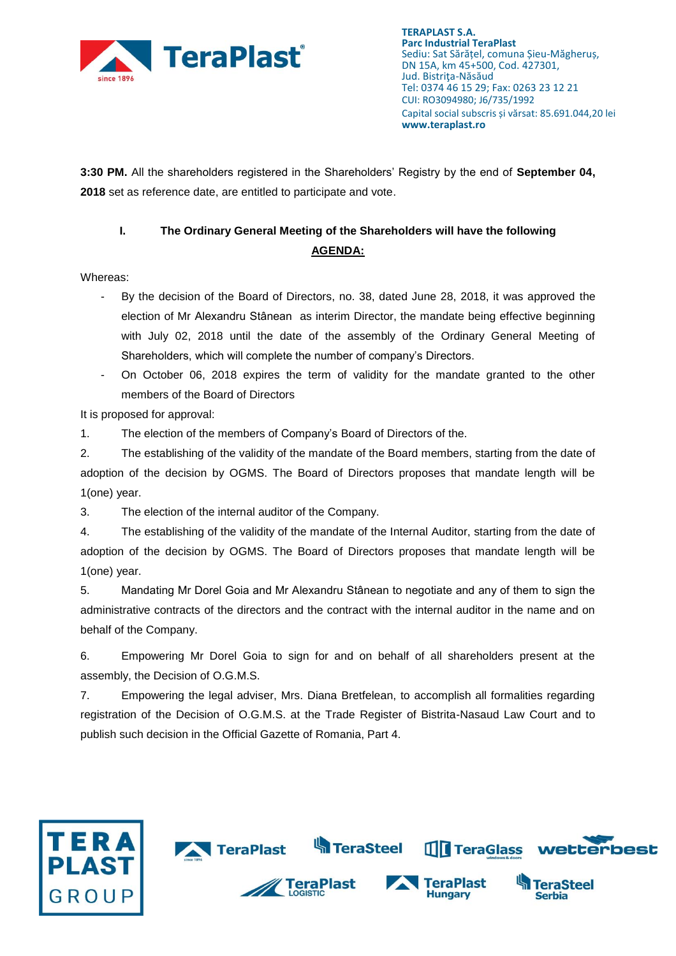

**3:30 PM.** All the shareholders registered in the Shareholders' Registry by the end of **September 04, 2018** set as reference date, are entitled to participate and vote.

## **I. The Ordinary General Meeting of the Shareholders will have the following AGENDA:**

Whereas:

- By the decision of the Board of Directors, no. 38, dated June 28, 2018, it was approved the election of Mr Alexandru Stânean as interim Director, the mandate being effective beginning with July 02, 2018 until the date of the assembly of the Ordinary General Meeting of Shareholders, which will complete the number of company's Directors.
- On October 06, 2018 expires the term of validity for the mandate granted to the other members of the Board of Directors

It is proposed for approval:

1. The election of the members of Company's Board of Directors of the.

2. The establishing of the validity of the mandate of the Board members, starting from the date of adoption of the decision by OGMS. The Board of Directors proposes that mandate length will be 1(one) year.

3. The election of the internal auditor of the Company.

4. The establishing of the validity of the mandate of the Internal Auditor, starting from the date of adoption of the decision by OGMS. The Board of Directors proposes that mandate length will be 1(one) year.

5. Mandating Mr Dorel Goia and Mr Alexandru Stânean to negotiate and any of them to sign the administrative contracts of the directors and the contract with the internal auditor in the name and on behalf of the Company.

6. Empowering Mr Dorel Goia to sign for and on behalf of all shareholders present at the assembly, the Decision of O.G.M.S.

7. Empowering the legal adviser, Mrs. Diana Bretfelean, to accomplish all formalities regarding registration of the Decision of O.G.M.S. at the Trade Register of Bistrita-Nasaud Law Court and to publish such decision in the Official Gazette of Romania, Part 4.

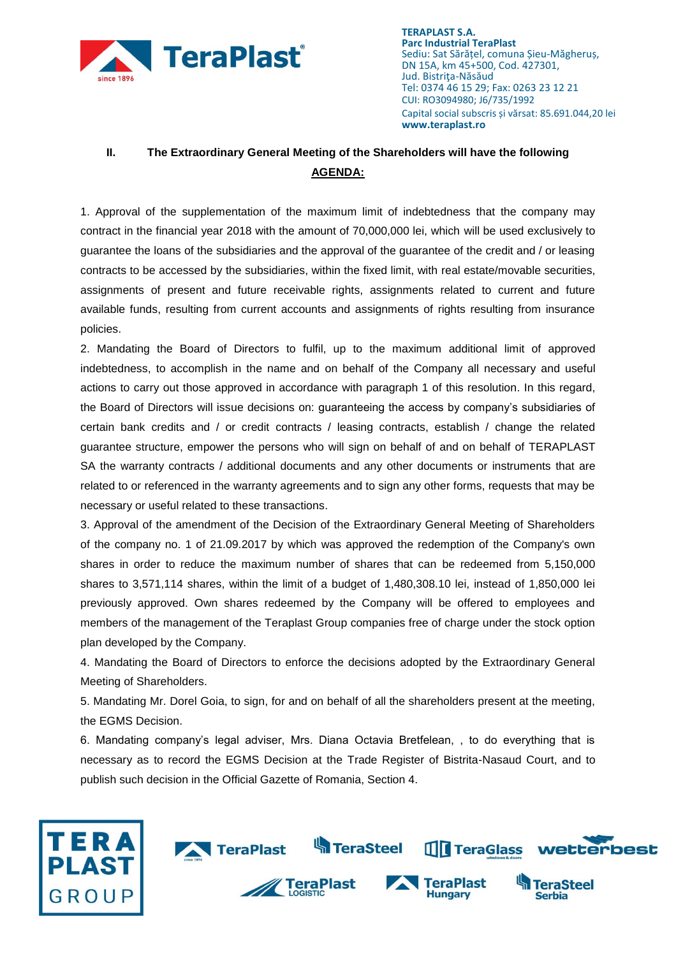

### **II. The Extraordinary General Meeting of the Shareholders will have the following AGENDA:**

1. Approval of the supplementation of the maximum limit of indebtedness that the company may contract in the financial year 2018 with the amount of 70,000,000 lei, which will be used exclusively to guarantee the loans of the subsidiaries and the approval of the guarantee of the credit and / or leasing contracts to be accessed by the subsidiaries, within the fixed limit, with real estate/movable securities, assignments of present and future receivable rights, assignments related to current and future available funds, resulting from current accounts and assignments of rights resulting from insurance policies.

2. Mandating the Board of Directors to fulfil, up to the maximum additional limit of approved indebtedness, to accomplish in the name and on behalf of the Company all necessary and useful actions to carry out those approved in accordance with paragraph 1 of this resolution. In this regard, the Board of Directors will issue decisions on: guaranteeing the access by company's subsidiaries of certain bank credits and / or credit contracts / leasing contracts, establish / change the related guarantee structure, empower the persons who will sign on behalf of and on behalf of TERAPLAST SA the warranty contracts / additional documents and any other documents or instruments that are related to or referenced in the warranty agreements and to sign any other forms, requests that may be necessary or useful related to these transactions.

3. Approval of the amendment of the Decision of the Extraordinary General Meeting of Shareholders of the company no. 1 of 21.09.2017 by which was approved the redemption of the Company's own shares in order to reduce the maximum number of shares that can be redeemed from 5,150,000 shares to 3,571,114 shares, within the limit of a budget of 1,480,308.10 lei, instead of 1,850,000 lei previously approved. Own shares redeemed by the Company will be offered to employees and members of the management of the Teraplast Group companies free of charge under the stock option plan developed by the Company.

4. Mandating the Board of Directors to enforce the decisions adopted by the Extraordinary General Meeting of Shareholders.

5. Mandating Mr. Dorel Goia, to sign, for and on behalf of all the shareholders present at the meeting, the EGMS Decision.

6. Mandating company's legal adviser, Mrs. Diana Octavia Bretfelean, , to do everything that is necessary as to record the EGMS Decision at the Trade Register of Bistrita-Nasaud Court, and to publish such decision in the Official Gazette of Romania, Section 4.

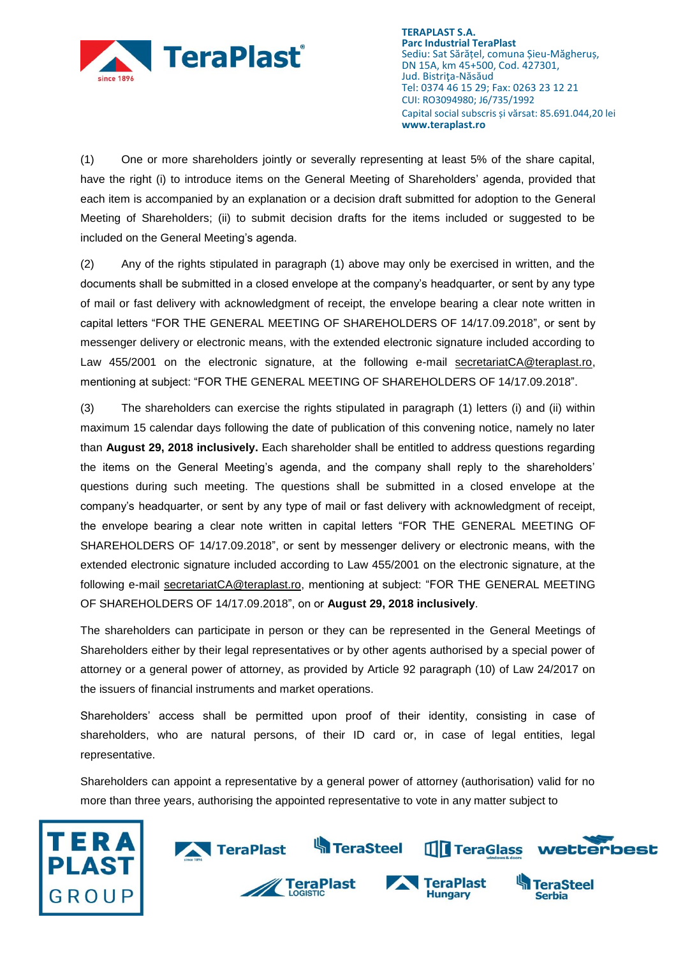

(1) One or more shareholders jointly or severally representing at least 5% of the share capital, have the right (i) to introduce items on the General Meeting of Shareholders' agenda, provided that each item is accompanied by an explanation or a decision draft submitted for adoption to the General Meeting of Shareholders; (ii) to submit decision drafts for the items included or suggested to be included on the General Meeting's agenda.

(2) Any of the rights stipulated in paragraph (1) above may only be exercised in written, and the documents shall be submitted in a closed envelope at the company's headquarter, or sent by any type of mail or fast delivery with acknowledgment of receipt, the envelope bearing a clear note written in capital letters "FOR THE GENERAL MEETING OF SHAREHOLDERS OF 14/17.09.2018", or sent by messenger delivery or electronic means, with the extended electronic signature included according to Law 455/2001 on the electronic signature, at the following e-mail [secretariatCA@teraplast.ro,](mailto:secretariatCA@teraplast.ro) mentioning at subject: "FOR THE GENERAL MEETING OF SHAREHOLDERS OF 14/17.09.2018".

(3) The shareholders can exercise the rights stipulated in paragraph (1) letters (i) and (ii) within maximum 15 calendar days following the date of publication of this convening notice, namely no later than **August 29, 2018 inclusively.** Each shareholder shall be entitled to address questions regarding the items on the General Meeting's agenda, and the company shall reply to the shareholders' questions during such meeting. The questions shall be submitted in a closed envelope at the company's headquarter, or sent by any type of mail or fast delivery with acknowledgment of receipt, the envelope bearing a clear note written in capital letters "FOR THE GENERAL MEETING OF SHAREHOLDERS OF 14/17.09.2018", or sent by messenger delivery or electronic means, with the extended electronic signature included according to Law 455/2001 on the electronic signature, at the following e-mail [secretariatCA@teraplast.ro,](mailto:secretariatCA@teraplast.ro) mentioning at subject: "FOR THE GENERAL MEETING OF SHAREHOLDERS OF 14/17.09.2018", on or **August 29, 2018 inclusively**.

The shareholders can participate in person or they can be represented in the General Meetings of Shareholders either by their legal representatives or by other agents authorised by a special power of attorney or a general power of attorney, as provided by Article 92 paragraph (10) of Law 24/2017 on the issuers of financial instruments and market operations.

Shareholders' access shall be permitted upon proof of their identity, consisting in case of shareholders, who are natural persons, of their ID card or, in case of legal entities, legal representative.

Shareholders can appoint a representative by a general power of attorney (authorisation) valid for no more than three years, authorising the appointed representative to vote in any matter subject to



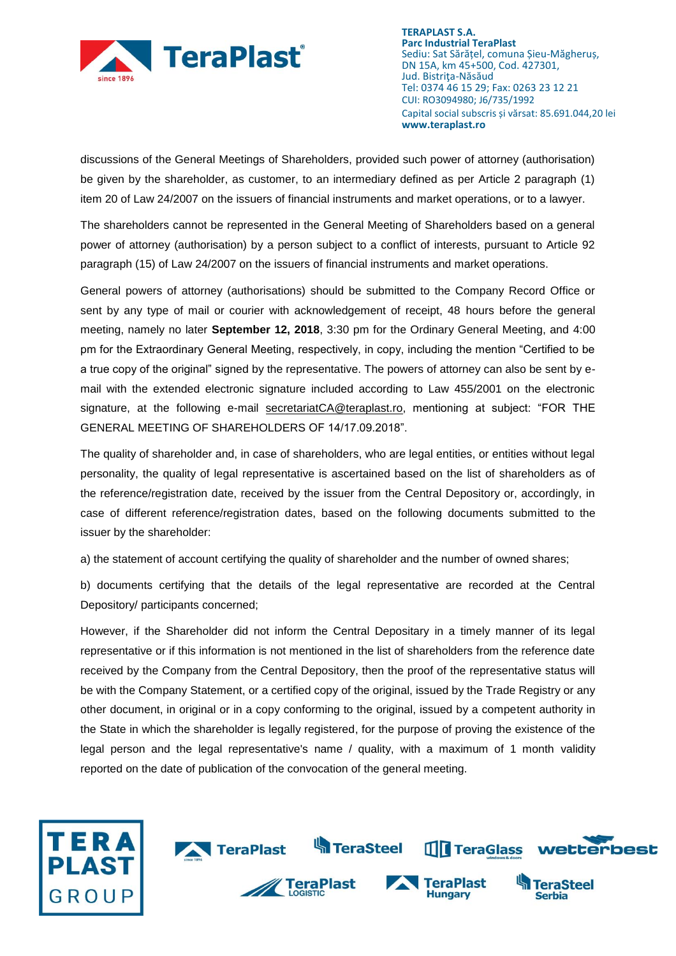

discussions of the General Meetings of Shareholders, provided such power of attorney (authorisation) be given by the shareholder, as customer, to an intermediary defined as per Article 2 paragraph (1) item 20 of Law 24/2007 on the issuers of financial instruments and market operations, or to a lawyer.

The shareholders cannot be represented in the General Meeting of Shareholders based on a general power of attorney (authorisation) by a person subject to a conflict of interests, pursuant to Article 92 paragraph (15) of Law 24/2007 on the issuers of financial instruments and market operations.

General powers of attorney (authorisations) should be submitted to the Company Record Office or sent by any type of mail or courier with acknowledgement of receipt, 48 hours before the general meeting, namely no later **September 12, 2018**, 3:30 pm for the Ordinary General Meeting, and 4:00 pm for the Extraordinary General Meeting, respectively, in copy, including the mention "Certified to be a true copy of the original" signed by the representative. The powers of attorney can also be sent by email with the extended electronic signature included according to Law 455/2001 on the electronic signature, at the following e-mail [secretariatCA@teraplast.ro,](mailto:secretariatCA@teraplast.ro) mentioning at subject: "FOR THE GENERAL MEETING OF SHAREHOLDERS OF 14/17.09.2018".

The quality of shareholder and, in case of shareholders, who are legal entities, or entities without legal personality, the quality of legal representative is ascertained based on the list of shareholders as of the reference/registration date, received by the issuer from the Central Depository or, accordingly, in case of different reference/registration dates, based on the following documents submitted to the issuer by the shareholder:

a) the statement of account certifying the quality of shareholder and the number of owned shares;

b) documents certifying that the details of the legal representative are recorded at the Central Depository/ participants concerned;

However, if the Shareholder did not inform the Central Depositary in a timely manner of its legal representative or if this information is not mentioned in the list of shareholders from the reference date received by the Company from the Central Depository, then the proof of the representative status will be with the Company Statement, or a certified copy of the original, issued by the Trade Registry or any other document, in original or in a copy conforming to the original, issued by a competent authority in the State in which the shareholder is legally registered, for the purpose of proving the existence of the legal person and the legal representative's name / quality, with a maximum of 1 month validity reported on the date of publication of the convocation of the general meeting.

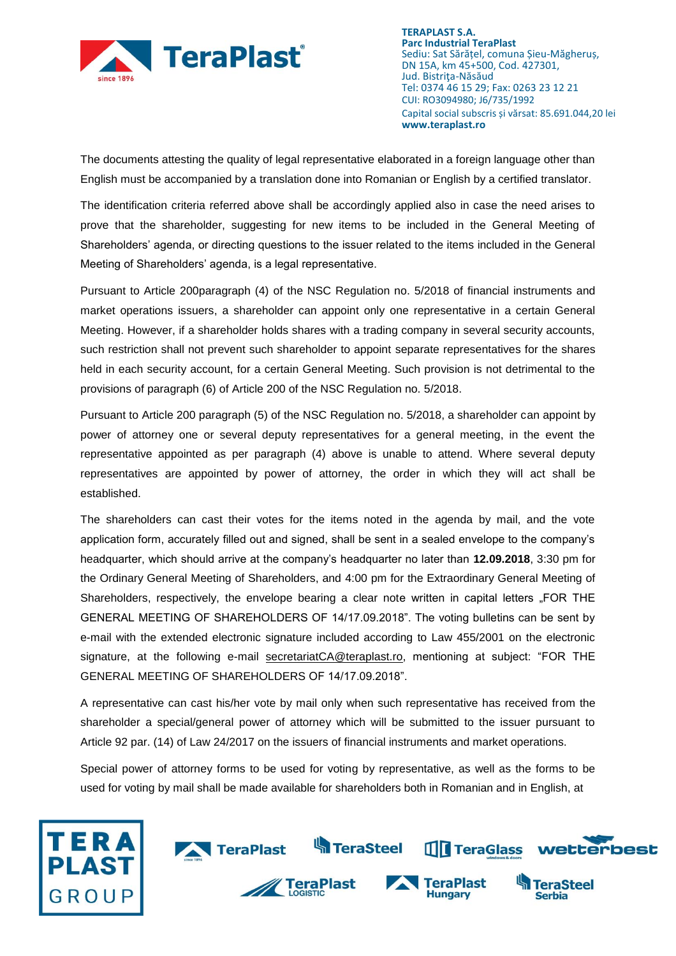

The documents attesting the quality of legal representative elaborated in a foreign language other than English must be accompanied by a translation done into Romanian or English by a certified translator.

The identification criteria referred above shall be accordingly applied also in case the need arises to prove that the shareholder, suggesting for new items to be included in the General Meeting of Shareholders' agenda, or directing questions to the issuer related to the items included in the General Meeting of Shareholders' agenda, is a legal representative.

Pursuant to Article 200paragraph (4) of the NSC Regulation no. 5/2018 of financial instruments and market operations issuers, a shareholder can appoint only one representative in a certain General Meeting. However, if a shareholder holds shares with a trading company in several security accounts, such restriction shall not prevent such shareholder to appoint separate representatives for the shares held in each security account, for a certain General Meeting. Such provision is not detrimental to the provisions of paragraph (6) of Article 200 of the NSC Regulation no. 5/2018.

Pursuant to Article 200 paragraph (5) of the NSC Regulation no. 5/2018, a shareholder can appoint by power of attorney one or several deputy representatives for a general meeting, in the event the representative appointed as per paragraph (4) above is unable to attend. Where several deputy representatives are appointed by power of attorney, the order in which they will act shall be established.

The shareholders can cast their votes for the items noted in the agenda by mail, and the vote application form, accurately filled out and signed, shall be sent in a sealed envelope to the company's headquarter, which should arrive at the company's headquarter no later than **12.09.2018**, 3:30 pm for the Ordinary General Meeting of Shareholders, and 4:00 pm for the Extraordinary General Meeting of Shareholders, respectively, the envelope bearing a clear note written in capital letters "FOR THE GENERAL MEETING OF SHAREHOLDERS OF 14/17.09.2018". The voting bulletins can be sent by e-mail with the extended electronic signature included according to Law 455/2001 on the electronic signature, at the following e-mail [secretariatCA@teraplast.ro,](mailto:secretariatCA@teraplast.ro) mentioning at subject: "FOR THE GENERAL MEETING OF SHAREHOLDERS OF 14/17.09.2018".

A representative can cast his/her vote by mail only when such representative has received from the shareholder a special/general power of attorney which will be submitted to the issuer pursuant to Article 92 par. (14) of Law 24/2017 on the issuers of financial instruments and market operations.

Special power of attorney forms to be used for voting by representative, as well as the forms to be used for voting by mail shall be made available for shareholders both in Romanian and in English, at

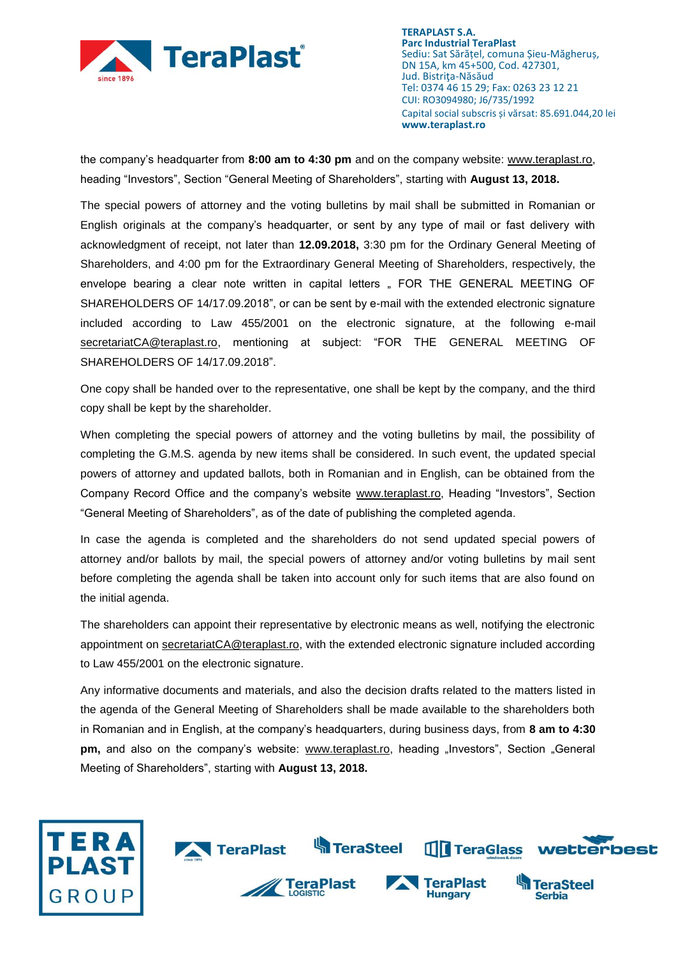

the company's headquarter from **8:00 am to 4:30 pm** and on the company website: [www.teraplast.ro,](http://www.teraplast.ro/) heading "Investors", Section "General Meeting of Shareholders", starting with **August 13, 2018.**

The special powers of attorney and the voting bulletins by mail shall be submitted in Romanian or English originals at the company's headquarter, or sent by any type of mail or fast delivery with acknowledgment of receipt, not later than **12.09.2018,** 3:30 pm for the Ordinary General Meeting of Shareholders, and 4:00 pm for the Extraordinary General Meeting of Shareholders, respectively, the envelope bearing a clear note written in capital letters "FOR THE GENERAL MEETING OF SHAREHOLDERS OF 14/17.09.2018", or can be sent by e-mail with the extended electronic signature included according to Law 455/2001 on the electronic signature, at the following e-mail [secretariatCA@teraplast.ro,](mailto:secretariatCA@teraplast.ro) mentioning at subject: "FOR THE GENERAL MEETING OF SHAREHOLDERS OF 14/17.09.2018".

One copy shall be handed over to the representative, one shall be kept by the company, and the third copy shall be kept by the shareholder.

When completing the special powers of attorney and the voting bulletins by mail, the possibility of completing the G.M.S. agenda by new items shall be considered. In such event, the updated special powers of attorney and updated ballots, both in Romanian and in English, can be obtained from the Company Record Office and the company's website [www.teraplast.ro,](http://www.teraplast.ro/) Heading "Investors", Section "General Meeting of Shareholders", as of the date of publishing the completed agenda.

In case the agenda is completed and the shareholders do not send updated special powers of attorney and/or ballots by mail, the special powers of attorney and/or voting bulletins by mail sent before completing the agenda shall be taken into account only for such items that are also found on the initial agenda.

The shareholders can appoint their representative by electronic means as well, notifying the electronic appointment on [secretariatCA@teraplast.ro,](mailto:secretariatCA@teraplast.ro) with the extended electronic signature included according to Law 455/2001 on the electronic signature.

Any informative documents and materials, and also the decision drafts related to the matters listed in the agenda of the General Meeting of Shareholders shall be made available to the shareholders both in Romanian and in English, at the company's headquarters, during business days, from **8 am to 4:30 pm,** and also on the company's website: [www.teraplast.ro,](http://www.teraplast.ro/) heading "Investors", Section "General Meeting of Shareholders", starting with **August 13, 2018.**